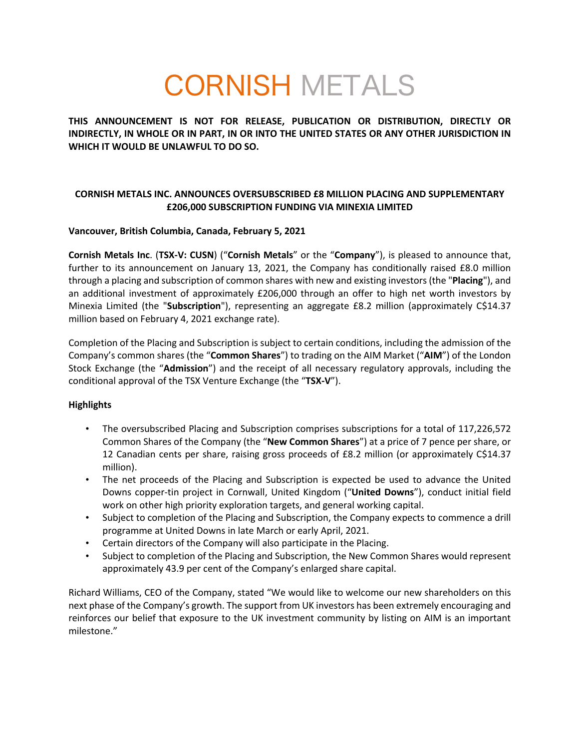# CORNISH METALS

**THIS ANNOUNCEMENT IS NOT FOR RELEASE, PUBLICATION OR DISTRIBUTION, DIRECTLY OR INDIRECTLY, IN WHOLE OR IN PART, IN OR INTO THE UNITED STATES OR ANY OTHER JURISDICTION IN WHICH IT WOULD BE UNLAWFUL TO DO SO.**

# **CORNISH METALS INC. ANNOUNCES OVERSUBSCRIBED £8 MILLION PLACING AND SUPPLEMENTARY £206,000 SUBSCRIPTION FUNDING VIA MINEXIA LIMITED**

# **Vancouver, British Columbia, Canada, February 5, 2021**

**Cornish Metals Inc**. (**TSX-V: CUSN**) ("**Cornish Metals**" or the "**Company**"), is pleased to announce that, further to its announcement on January 13, 2021, the Company has conditionally raised £8.0 million through a placing and subscription of common shares with new and existing investors (the "**Placing**"), and an additional investment of approximately £206,000 through an offer to high net worth investors by Minexia Limited (the "**Subscription**"), representing an aggregate £8.2 million (approximately C\$14.37 million based on February 4, 2021 exchange rate).

Completion of the Placing and Subscription is subject to certain conditions, including the admission of the Company's common shares (the "**Common Shares**") to trading on the AIM Market ("**AIM**") of the London Stock Exchange (the "**Admission**") and the receipt of all necessary regulatory approvals, including the conditional approval of the TSX Venture Exchange (the "**TSX-V**").

# **Highlights**

- The oversubscribed Placing and Subscription comprises subscriptions for a total of 117,226,572 Common Shares of the Company (the "**New Common Shares**") at a price of 7 pence per share, or 12 Canadian cents per share, raising gross proceeds of £8.2 million (or approximately C\$14.37 million).
- The net proceeds of the Placing and Subscription is expected be used to advance the United Downs copper-tin project in Cornwall, United Kingdom ("**United Downs**"), conduct initial field work on other high priority exploration targets, and general working capital.
- Subject to completion of the Placing and Subscription, the Company expects to commence a drill programme at United Downs in late March or early April, 2021.
- Certain directors of the Company will also participate in the Placing.
- Subject to completion of the Placing and Subscription, the New Common Shares would represent approximately 43.9 per cent of the Company's enlarged share capital.

Richard Williams, CEO of the Company, stated "We would like to welcome our new shareholders on this next phase of the Company's growth. The support from UK investors has been extremely encouraging and reinforces our belief that exposure to the UK investment community by listing on AIM is an important milestone."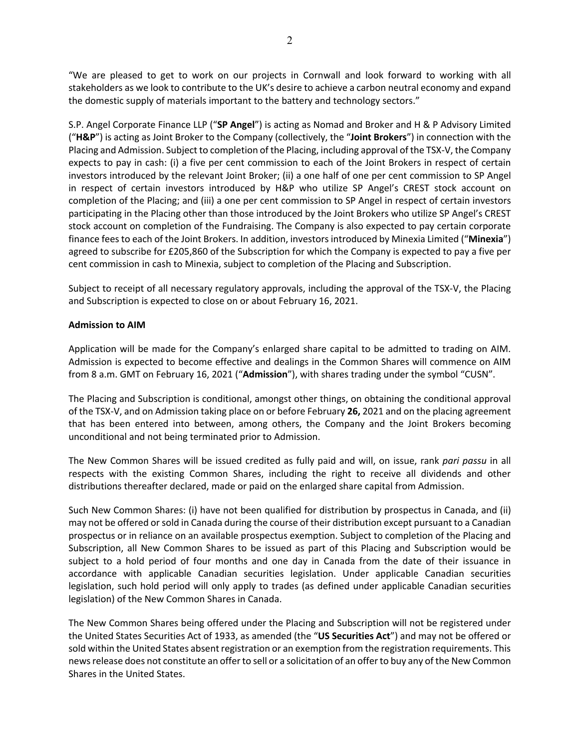"We are pleased to get to work on our projects in Cornwall and look forward to working with all stakeholders as we look to contribute to the UK's desire to achieve a carbon neutral economy and expand the domestic supply of materials important to the battery and technology sectors."

S.P. Angel Corporate Finance LLP ("**SP Angel**") is acting as Nomad and Broker and H & P Advisory Limited ("**H&P**") is acting as Joint Broker to the Company (collectively, the "**Joint Brokers**") in connection with the Placing and Admission. Subject to completion of the Placing, including approval of the TSX-V, the Company expects to pay in cash: (i) a five per cent commission to each of the Joint Brokers in respect of certain investors introduced by the relevant Joint Broker; (ii) a one half of one per cent commission to SP Angel in respect of certain investors introduced by H&P who utilize SP Angel's CREST stock account on completion of the Placing; and (iii) a one per cent commission to SP Angel in respect of certain investors participating in the Placing other than those introduced by the Joint Brokers who utilize SP Angel's CREST stock account on completion of the Fundraising. The Company is also expected to pay certain corporate finance fees to each of the Joint Brokers. In addition, investors introduced by Minexia Limited ("**Minexia**") agreed to subscribe for £205,860 of the Subscription for which the Company is expected to pay a five per cent commission in cash to Minexia, subject to completion of the Placing and Subscription.

Subject to receipt of all necessary regulatory approvals, including the approval of the TSX-V, the Placing and Subscription is expected to close on or about February 16, 2021.

# **Admission to AIM**

Application will be made for the Company's enlarged share capital to be admitted to trading on AIM. Admission is expected to become effective and dealings in the Common Shares will commence on AIM from 8 a.m. GMT on February 16, 2021 ("**Admission**"), with shares trading under the symbol "CUSN".

The Placing and Subscription is conditional, amongst other things, on obtaining the conditional approval of the TSX-V, and on Admission taking place on or before February **26,** 2021 and on the placing agreement that has been entered into between, among others, the Company and the Joint Brokers becoming unconditional and not being terminated prior to Admission.

The New Common Shares will be issued credited as fully paid and will, on issue, rank *pari passu* in all respects with the existing Common Shares, including the right to receive all dividends and other distributions thereafter declared, made or paid on the enlarged share capital from Admission.

Such New Common Shares: (i) have not been qualified for distribution by prospectus in Canada, and (ii) may not be offered or sold in Canada during the course of their distribution except pursuant to a Canadian prospectus or in reliance on an available prospectus exemption. Subject to completion of the Placing and Subscription, all New Common Shares to be issued as part of this Placing and Subscription would be subject to a hold period of four months and one day in Canada from the date of their issuance in accordance with applicable Canadian securities legislation. Under applicable Canadian securities legislation, such hold period will only apply to trades (as defined under applicable Canadian securities legislation) of the New Common Shares in Canada.

The New Common Shares being offered under the Placing and Subscription will not be registered under the United States Securities Act of 1933, as amended (the "**US Securities Act**") and may not be offered or sold within the United States absent registration or an exemption from the registration requirements. This news release does not constitute an offer to sell or a solicitation of an offer to buy any of the New Common Shares in the United States.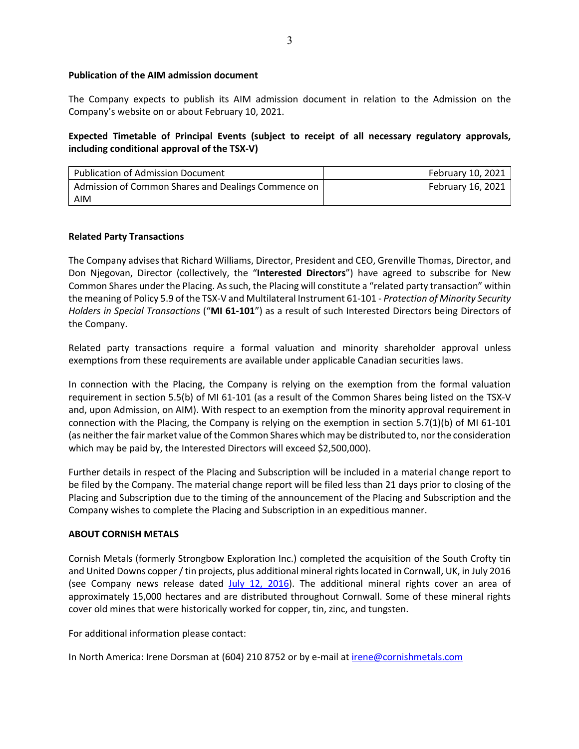# **Publication of the AIM admission document**

The Company expects to publish its AIM admission document in relation to the Admission on the Company's website on or about February 10, 2021.

# **Expected Timetable of Principal Events (subject to receipt of all necessary regulatory approvals, including conditional approval of the TSX-V)**

| <b>Publication of Admission Document</b>            | February 10, 2021 |
|-----------------------------------------------------|-------------------|
| Admission of Common Shares and Dealings Commence on | February 16, 2021 |
| AIM                                                 |                   |

# **Related Party Transactions**

The Company advises that Richard Williams, Director, President and CEO, Grenville Thomas, Director, and Don Njegovan, Director (collectively, the "**Interested Directors**") have agreed to subscribe for New Common Shares under the Placing. As such, the Placing will constitute a "related party transaction" within the meaning of Policy 5.9 of the TSX-V and Multilateral Instrument 61-101 - *Protection of Minority Security Holders in Special Transactions* ("**MI 61-101**") as a result of such Interested Directors being Directors of the Company.

Related party transactions require a formal valuation and minority shareholder approval unless exemptions from these requirements are available under applicable Canadian securities laws.

In connection with the Placing, the Company is relying on the exemption from the formal valuation requirement in section 5.5(b) of MI 61-101 (as a result of the Common Shares being listed on the TSX-V and, upon Admission, on AIM). With respect to an exemption from the minority approval requirement in connection with the Placing, the Company is relying on the exemption in section 5.7(1)(b) of MI 61-101 (as neither the fair market value of the Common Shares which may be distributed to, nor the consideration which may be paid by, the Interested Directors will exceed \$2,500,000).

Further details in respect of the Placing and Subscription will be included in a material change report to be filed by the Company. The material change report will be filed less than 21 days prior to closing of the Placing and Subscription due to the timing of the announcement of the Placing and Subscription and the Company wishes to complete the Placing and Subscription in an expeditious manner.

#### **ABOUT CORNISH METALS**

Cornish Metals (formerly Strongbow Exploration Inc.) completed the acquisition of the South Crofty tin and United Downs copper / tin projects, plus additional mineral rights located in Cornwall, UK, in July 2016 (see Company news release dated July  $12, 2016$ ). The additional mineral rights cover an area of approximately 15,000 hectares and are distributed throughout Cornwall. Some of these mineral rights cover old mines that were historically worked for copper, tin, zinc, and tungsten.

For additional information please contact:

In North America: Irene Dorsman at (604) 210 8752 or by e-mail at irene@cornishmetals.com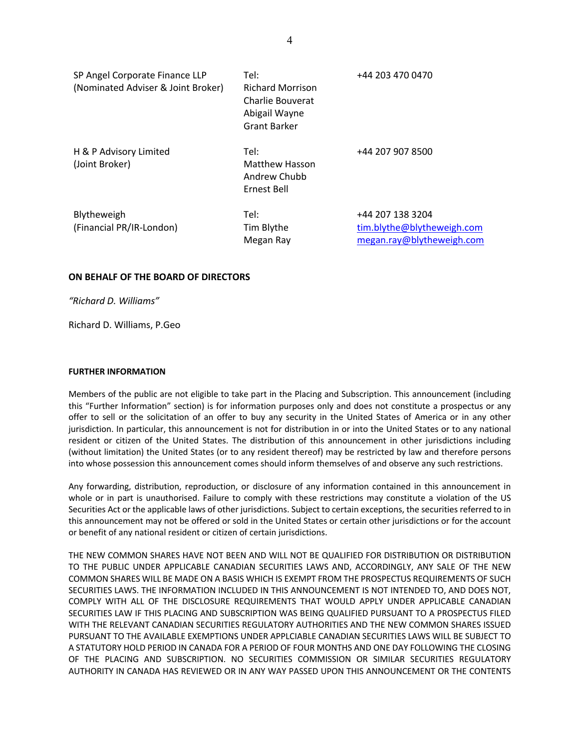| SP Angel Corporate Finance LLP<br>(Nominated Adviser & Joint Broker) | Tel:<br><b>Richard Morrison</b><br>Charlie Bouverat<br>Abigail Wayne<br>Grant Barker | +44 203 470 0470                                                            |
|----------------------------------------------------------------------|--------------------------------------------------------------------------------------|-----------------------------------------------------------------------------|
| H & P Advisory Limited<br>(Joint Broker)                             | Tel:<br><b>Matthew Hasson</b><br>Andrew Chubb<br>Ernest Bell                         | +44 207 907 8500                                                            |
| Blytheweigh<br>(Financial PR/IR-London)                              | Tel:<br>Tim Blythe<br>Megan Ray                                                      | +44 207 138 3204<br>tim.blythe@blytheweigh.com<br>megan.ray@blytheweigh.com |

#### **ON BEHALF OF THE BOARD OF DIRECTORS**

*"Richard D. Williams"*

Richard D. Williams, P.Geo

#### **FURTHER INFORMATION**

Members of the public are not eligible to take part in the Placing and Subscription. This announcement (including this "Further Information" section) is for information purposes only and does not constitute a prospectus or any offer to sell or the solicitation of an offer to buy any security in the United States of America or in any other jurisdiction. In particular, this announcement is not for distribution in or into the United States or to any national resident or citizen of the United States. The distribution of this announcement in other jurisdictions including (without limitation) the United States (or to any resident thereof) may be restricted by law and therefore persons into whose possession this announcement comes should inform themselves of and observe any such restrictions.

Any forwarding, distribution, reproduction, or disclosure of any information contained in this announcement in whole or in part is unauthorised. Failure to comply with these restrictions may constitute a violation of the US Securities Act or the applicable laws of other jurisdictions. Subject to certain exceptions, the securities referred to in this announcement may not be offered or sold in the United States or certain other jurisdictions or for the account or benefit of any national resident or citizen of certain jurisdictions.

THE NEW COMMON SHARES HAVE NOT BEEN AND WILL NOT BE QUALIFIED FOR DISTRIBUTION OR DISTRIBUTION TO THE PUBLIC UNDER APPLICABLE CANADIAN SECURITIES LAWS AND, ACCORDINGLY, ANY SALE OF THE NEW COMMON SHARES WILL BE MADE ON A BASIS WHICH IS EXEMPT FROM THE PROSPECTUS REQUIREMENTS OF SUCH SECURITIES LAWS. THE INFORMATION INCLUDED IN THIS ANNOUNCEMENT IS NOT INTENDED TO, AND DOES NOT, COMPLY WITH ALL OF THE DISCLOSURE REQUIREMENTS THAT WOULD APPLY UNDER APPLICABLE CANADIAN SECURITIES LAW IF THIS PLACING AND SUBSCRIPTION WAS BEING QUALIFIED PURSUANT TO A PROSPECTUS FILED WITH THE RELEVANT CANADIAN SECURITIES REGULATORY AUTHORITIES AND THE NEW COMMON SHARES ISSUED PURSUANT TO THE AVAILABLE EXEMPTIONS UNDER APPLCIABLE CANADIAN SECURITIES LAWS WILL BE SUBJECT TO A STATUTORY HOLD PERIOD IN CANADA FOR A PERIOD OF FOUR MONTHS AND ONE DAY FOLLOWING THE CLOSING OF THE PLACING AND SUBSCRIPTION. NO SECURITIES COMMISSION OR SIMILAR SECURITIES REGULATORY AUTHORITY IN CANADA HAS REVIEWED OR IN ANY WAY PASSED UPON THIS ANNOUNCEMENT OR THE CONTENTS